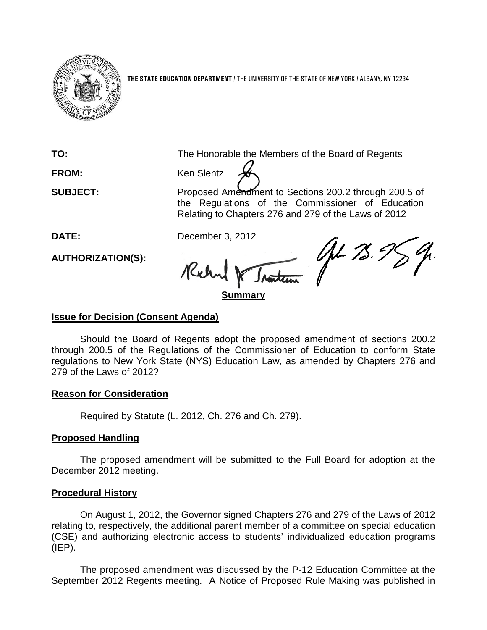

**THE STATE EDUCATION DEPARTMENT** / THE UNIVERSITY OF THE STATE OF NEW YORK / ALBANY, NY 12234

**TO:** The Honorable the Members of the Board of Regents

FROM: Ken Slentz

**SUBJECT:** Proposed Amendment to Sections 200.2 through 200.5 of the Regulations of the Commissioner of Education Relating to Chapters 276 and 279 of the Laws of 2012

**AUTHORIZATION(S):**

DATE: December 3, 2012<br>AUTHORIZATION(S): Reclament 1. Richard

# **Summary**

# **Issue for Decision (Consent Agenda)**

Should the Board of Regents adopt the proposed amendment of sections 200.2 through 200.5 of the Regulations of the Commissioner of Education to conform State regulations to New York State (NYS) Education Law, as amended by Chapters 276 and 279 of the Laws of 2012?

# **Reason for Consideration**

Required by Statute (L. 2012, Ch. 276 and Ch. 279).

# **Proposed Handling**

The proposed amendment will be submitted to the Full Board for adoption at the December 2012 meeting.

#### **Procedural History**

On August 1, 2012, the Governor signed Chapters 276 and 279 of the Laws of 2012 relating to, respectively, the additional parent member of a committee on special education (CSE) and authorizing electronic access to students' individualized education programs  $(IEP)$ .

The proposed amendment was discussed by the P-12 Education Committee at the September 2012 Regents meeting. A Notice of Proposed Rule Making was published in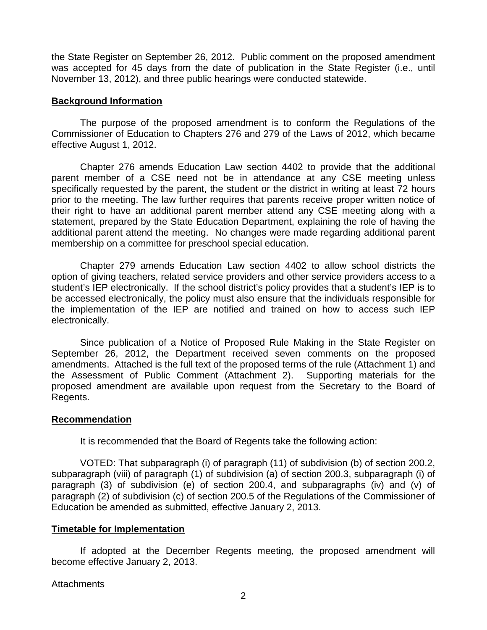the State Register on September 26, 2012. Public comment on the proposed amendment was accepted for 45 days from the date of publication in the State Register (i.e., until November 13, 2012), and three public hearings were conducted statewide.

# **Background Information**

The purpose of the proposed amendment is to conform the Regulations of the Commissioner of Education to Chapters 276 and 279 of the Laws of 2012, which became effective August 1, 2012.

Chapter 276 amends Education Law section 4402 to provide that the additional parent member of a CSE need not be in attendance at any CSE meeting unless specifically requested by the parent, the student or the district in writing at least 72 hours prior to the meeting. The law further requires that parents receive proper written notice of their right to have an additional parent member attend any CSE meeting along with a statement, prepared by the State Education Department, explaining the role of having the additional parent attend the meeting. No changes were made regarding additional parent membership on a committee for preschool special education.

Chapter 279 amends Education Law section 4402 to allow school districts the option of giving teachers, related service providers and other service providers access to a student's IEP electronically. If the school district's policy provides that a student's IEP is to be accessed electronically, the policy must also ensure that the individuals responsible for the implementation of the IEP are notified and trained on how to access such IEP electronically.

Since publication of a Notice of Proposed Rule Making in the State Register on September 26, 2012, the Department received seven comments on the proposed amendments. Attached is the full text of the proposed terms of the rule (Attachment 1) and the Assessment of Public Comment (Attachment 2). Supporting materials for the proposed amendment are available upon request from the Secretary to the Board of Regents.

#### **Recommendation**

It is recommended that the Board of Regents take the following action:

VOTED: That subparagraph (i) of paragraph (11) of subdivision (b) of section 200.2, subparagraph (viii) of paragraph (1) of subdivision (a) of section 200.3, subparagraph (i) of paragraph (3) of subdivision (e) of section 200.4, and subparagraphs (iv) and (v) of paragraph (2) of subdivision (c) of section 200.5 of the Regulations of the Commissioner of Education be amended as submitted, effective January 2, 2013.

#### **Timetable for Implementation**

If adopted at the December Regents meeting, the proposed amendment will become effective January 2, 2013.

**Attachments**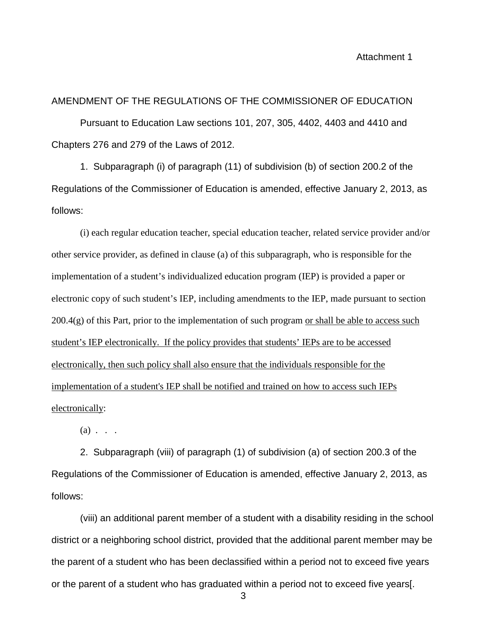Attachment 1

# AMENDMENT OF THE REGULATIONS OF THE COMMISSIONER OF EDUCATION Pursuant to Education Law sections 101, 207, 305, 4402, 4403 and 4410 and Chapters 276 and 279 of the Laws of 2012.

1. Subparagraph (i) of paragraph (11) of subdivision (b) of section 200.2 of the Regulations of the Commissioner of Education is amended, effective January 2, 2013, as follows:

(i) each regular education teacher, special education teacher, related service provider and/or other service provider, as defined in clause (a) of this subparagraph, who is responsible for the implementation of a student's individualized education program (IEP) is provided a paper or electronic copy of such student's IEP, including amendments to the IEP, made pursuant to section  $200.4(g)$  of this Part, prior to the implementation of such program or shall be able to access such student's IEP electronically. If the policy provides that students' IEPs are to be accessed electronically, then such policy shall also ensure that the individuals responsible for the implementation of a student's IEP shall be notified and trained on how to access such IEPs electronically:

 $(a)$  . . .

2. Subparagraph (viii) of paragraph (1) of subdivision (a) of section 200.3 of the Regulations of the Commissioner of Education is amended, effective January 2, 2013, as follows:

(viii) an additional parent member of a student with a disability residing in the school district or a neighboring school district, provided that the additional parent member may be the parent of a student who has been declassified within a period not to exceed five years or the parent of a student who has graduated within a period not to exceed five years[.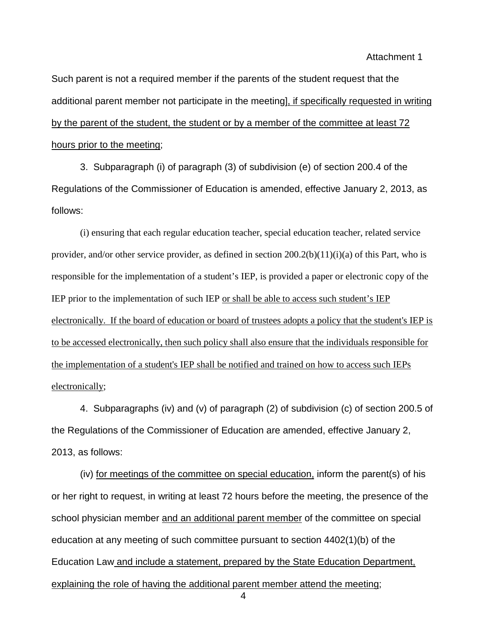Attachment 1

Such parent is not a required member if the parents of the student request that the additional parent member not participate in the meeting], if specifically requested in writing by the parent of the student, the student or by a member of the committee at least 72 hours prior to the meeting;

3. Subparagraph (i) of paragraph (3) of subdivision (e) of section 200.4 of the Regulations of the Commissioner of Education is amended, effective January 2, 2013, as follows:

(i) ensuring that each regular education teacher, special education teacher, related service provider, and/or other service provider, as defined in section  $200.2(b)(11)(i)(a)$  of this Part, who is responsible for the implementation of a student's IEP, is provided a paper or electronic copy of the IEP prior to the implementation of such IEP or shall be able to access such student's IEP electronically. If the board of education or board of trustees adopts a policy that the student's IEP is to be accessed electronically, then such policy shall also ensure that the individuals responsible for the implementation of a student's IEP shall be notified and trained on how to access such IEPs electronically;

4. Subparagraphs (iv) and (v) of paragraph (2) of subdivision (c) of section 200.5 of the Regulations of the Commissioner of Education are amended, effective January 2, 2013, as follows:

(iv) for meetings of the committee on special education, inform the parent(s) of his or her right to request, in writing at least 72 hours before the meeting, the presence of the school physician member and an additional parent member of the committee on special education at any meeting of such committee pursuant to section 4402(1)(b) of the Education Law and include a statement, prepared by the State Education Department, explaining the role of having the additional parent member attend the meeting;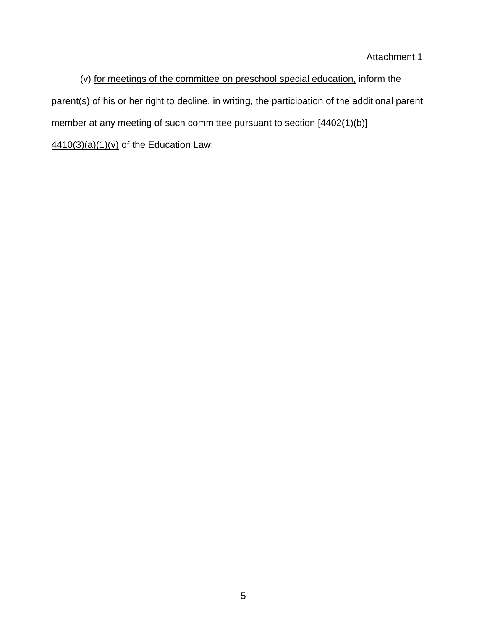# Attachment 1

(v) for meetings of the committee on preschool special education, inform the parent(s) of his or her right to decline, in writing, the participation of the additional parent member at any meeting of such committee pursuant to section [4402(1)(b)]  $4410(3)(a)(1)(v)$  of the Education Law;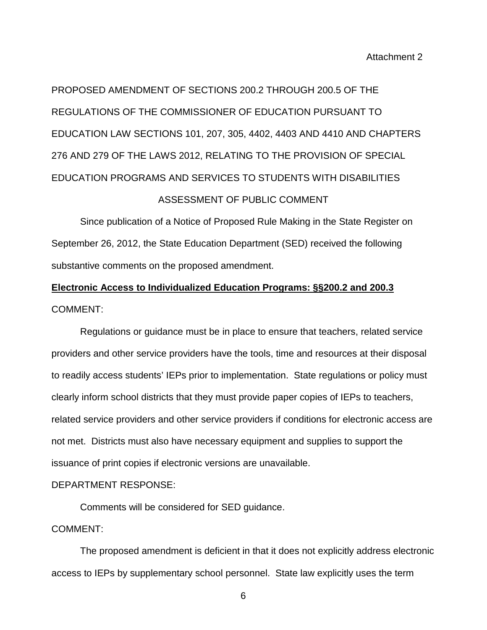PROPOSED AMENDMENT OF SECTIONS 200.2 THROUGH 200.5 OF THE REGULATIONS OF THE COMMISSIONER OF EDUCATION PURSUANT TO EDUCATION LAW SECTIONS 101, 207, 305, 4402, 4403 AND 4410 AND CHAPTERS 276 AND 279 OF THE LAWS 2012, RELATING TO THE PROVISION OF SPECIAL EDUCATION PROGRAMS AND SERVICES TO STUDENTS WITH DISABILITIES ASSESSMENT OF PUBLIC COMMENT

Since publication of a Notice of Proposed Rule Making in the State Register on September 26, 2012, the State Education Department (SED) received the following substantive comments on the proposed amendment.

# **Electronic Access to Individualized Education Programs: §§200.2 and 200.3** COMMENT:

Regulations or guidance must be in place to ensure that teachers, related service providers and other service providers have the tools, time and resources at their disposal to readily access students' IEPs prior to implementation. State regulations or policy must clearly inform school districts that they must provide paper copies of IEPs to teachers, related service providers and other service providers if conditions for electronic access are not met. Districts must also have necessary equipment and supplies to support the issuance of print copies if electronic versions are unavailable.

#### DEPARTMENT RESPONSE:

Comments will be considered for SED guidance.

#### COMMENT:

The proposed amendment is deficient in that it does not explicitly address electronic access to IEPs by supplementary school personnel. State law explicitly uses the term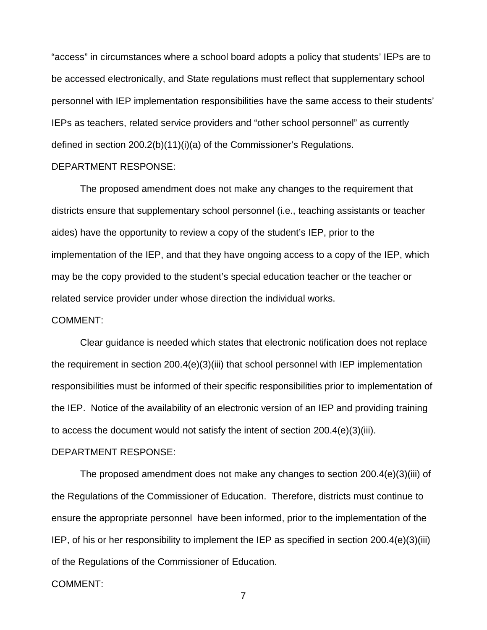"access" in circumstances where a school board adopts a policy that students' IEPs are to be accessed electronically, and State regulations must reflect that supplementary school personnel with IEP implementation responsibilities have the same access to their students' IEPs as teachers, related service providers and "other school personnel" as currently defined in section 200.2(b)(11)(i)(a) of the Commissioner's Regulations.

#### DEPARTMENT RESPONSE:

The proposed amendment does not make any changes to the requirement that districts ensure that supplementary school personnel (i.e., teaching assistants or teacher aides) have the opportunity to review a copy of the student's IEP, prior to the implementation of the IEP, and that they have ongoing access to a copy of the IEP, which may be the copy provided to the student's special education teacher or the teacher or related service provider under whose direction the individual works.

#### COMMENT:

Clear guidance is needed which states that electronic notification does not replace the requirement in section 200.4(e)(3)(iii) that school personnel with IEP implementation responsibilities must be informed of their specific responsibilities prior to implementation of the IEP. Notice of the availability of an electronic version of an IEP and providing training to access the document would not satisfy the intent of section  $200.4(e)(3)(iii)$ .

#### DEPARTMENT RESPONSE:

The proposed amendment does not make any changes to section 200.4(e)(3)(iii) of the Regulations of the Commissioner of Education. Therefore, districts must continue to ensure the appropriate personnel have been informed, prior to the implementation of the IEP, of his or her responsibility to implement the IEP as specified in section 200.4(e)(3)(iii) of the Regulations of the Commissioner of Education.

#### COMMENT: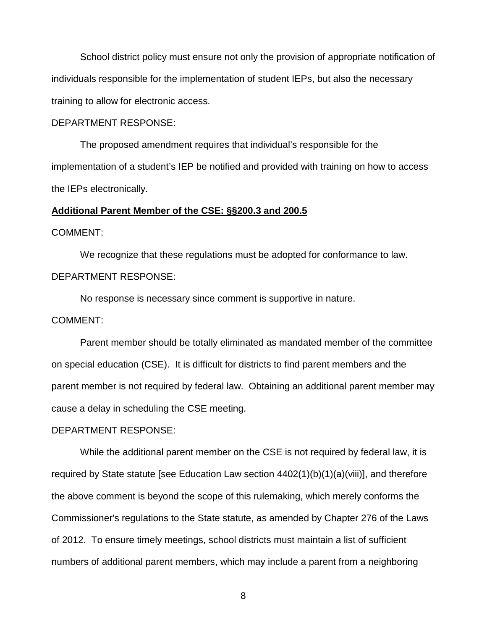School district policy must ensure not only the provision of appropriate notification of individuals responsible for the implementation of student IEPs, but also the necessary training to allow for electronic access.

#### DEPARTMENT RESPONSE:

The proposed amendment requires that individual's responsible for the implementation of a student's IEP be notified and provided with training on how to access the IEPs electronically.

#### **Additional Parent Member of the CSE: §§200.3 and 200.5**

#### COMMENT:

We recognize that these regulations must be adopted for conformance to law. DEPARTMENT RESPONSE:

No response is necessary since comment is supportive in nature.

#### COMMENT:

Parent member should be totally eliminated as mandated member of the committee on special education (CSE). It is difficult for districts to find parent members and the parent member is not required by federal law. Obtaining an additional parent member may cause a delay in scheduling the CSE meeting.

#### DEPARTMENT RESPONSE:

While the additional parent member on the CSE is not required by federal law, it is required by State statute [see Education Law section 4402(1)(b)(1)(a)(viii)], and therefore the above comment is beyond the scope of this rulemaking, which merely conforms the Commissioner's regulations to the State statute, as amended by Chapter 276 of the Laws of 2012. To ensure timely meetings, school districts must maintain a list of sufficient numbers of additional parent members, which may include a parent from a neighboring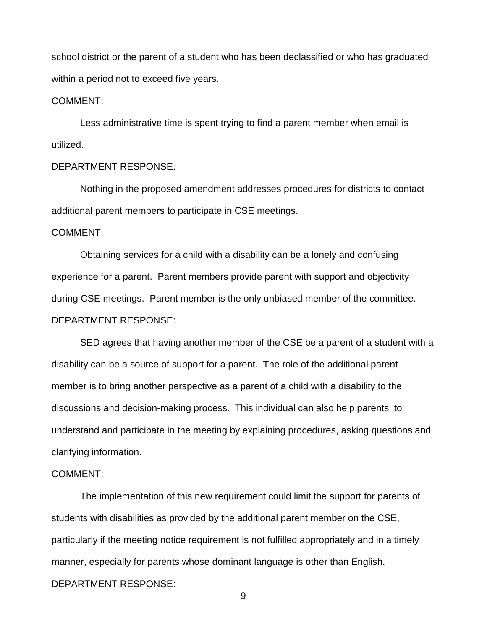school district or the parent of a student who has been declassified or who has graduated within a period not to exceed five years.

#### COMMENT:

Less administrative time is spent trying to find a parent member when email is utilized.

#### DEPARTMENT RESPONSE:

Nothing in the proposed amendment addresses procedures for districts to contact additional parent members to participate in CSE meetings.

#### COMMENT:

Obtaining services for a child with a disability can be a lonely and confusing experience for a parent. Parent members provide parent with support and objectivity during CSE meetings. Parent member is the only unbiased member of the committee. DEPARTMENT RESPONSE:

SED agrees that having another member of the CSE be a parent of a student with a disability can be a source of support for a parent. The role of the additional parent member is to bring another perspective as a parent of a child with a disability to the discussions and decision-making process. This individual can also help parents to understand and participate in the meeting by explaining procedures, asking questions and clarifying information.

# COMMENT:

The implementation of this new requirement could limit the support for parents of students with disabilities as provided by the additional parent member on the CSE, particularly if the meeting notice requirement is not fulfilled appropriately and in a timely manner, especially for parents whose dominant language is other than English. DEPARTMENT RESPONSE: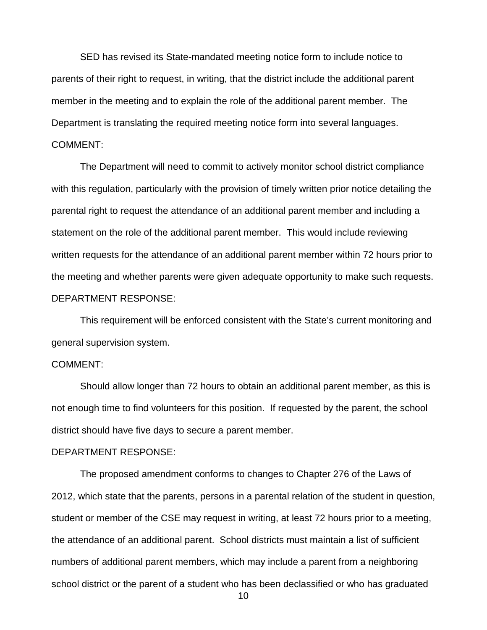SED has revised its State-mandated meeting notice form to include notice to parents of their right to request, in writing, that the district include the additional parent member in the meeting and to explain the role of the additional parent member. The Department is translating the required meeting notice form into several languages. COMMENT:

The Department will need to commit to actively monitor school district compliance with this regulation, particularly with the provision of timely written prior notice detailing the parental right to request the attendance of an additional parent member and including a statement on the role of the additional parent member. This would include reviewing written requests for the attendance of an additional parent member within 72 hours prior to the meeting and whether parents were given adequate opportunity to make such requests. DEPARTMENT RESPONSE:

This requirement will be enforced consistent with the State's current monitoring and general supervision system.

#### COMMENT:

Should allow longer than 72 hours to obtain an additional parent member, as this is not enough time to find volunteers for this position. If requested by the parent, the school district should have five days to secure a parent member.

#### DEPARTMENT RESPONSE:

The proposed amendment conforms to changes to Chapter 276 of the Laws of 2012, which state that the parents, persons in a parental relation of the student in question, student or member of the CSE may request in writing, at least 72 hours prior to a meeting, the attendance of an additional parent. School districts must maintain a list of sufficient numbers of additional parent members, which may include a parent from a neighboring school district or the parent of a student who has been declassified or who has graduated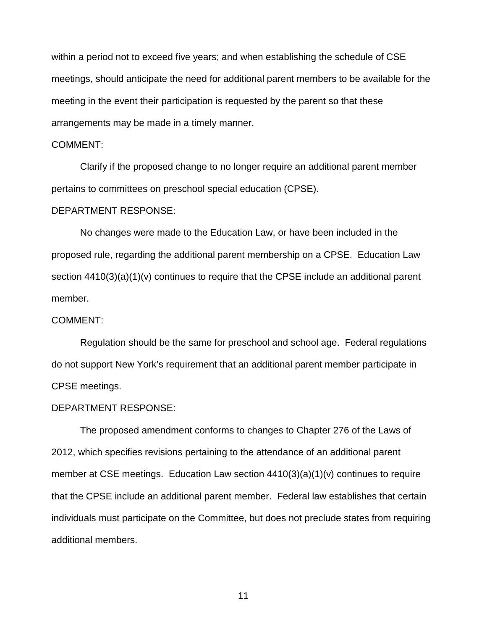within a period not to exceed five years; and when establishing the schedule of CSE meetings, should anticipate the need for additional parent members to be available for the meeting in the event their participation is requested by the parent so that these arrangements may be made in a timely manner.

#### COMMENT:

Clarify if the proposed change to no longer require an additional parent member pertains to committees on preschool special education (CPSE).

#### DEPARTMENT RESPONSE:

No changes were made to the Education Law, or have been included in the proposed rule, regarding the additional parent membership on a CPSE. Education Law section 4410(3)(a)(1)(y) continues to require that the CPSE include an additional parent member.

#### COMMENT:

Regulation should be the same for preschool and school age. Federal regulations do not support New York's requirement that an additional parent member participate in CPSE meetings.

#### DEPARTMENT RESPONSE:

The proposed amendment conforms to changes to Chapter 276 of the Laws of 2012, which specifies revisions pertaining to the attendance of an additional parent member at CSE meetings. Education Law section 4410(3)(a)(1)(v) continues to require that the CPSE include an additional parent member. Federal law establishes that certain individuals must participate on the Committee, but does not preclude states from requiring additional members.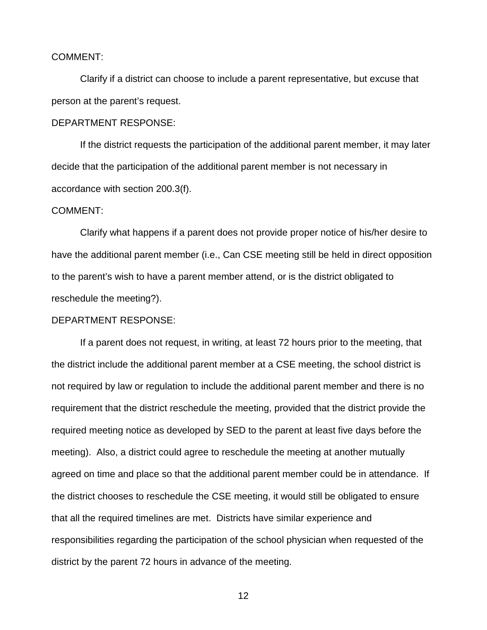#### COMMENT:

Clarify if a district can choose to include a parent representative, but excuse that person at the parent's request.

#### DEPARTMENT RESPONSE:

If the district requests the participation of the additional parent member, it may later decide that the participation of the additional parent member is not necessary in accordance with section 200.3(f).

#### COMMENT:

Clarify what happens if a parent does not provide proper notice of his/her desire to have the additional parent member (i.e., Can CSE meeting still be held in direct opposition to the parent's wish to have a parent member attend, or is the district obligated to reschedule the meeting?).

#### DEPARTMENT RESPONSE:

If a parent does not request, in writing, at least 72 hours prior to the meeting, that the district include the additional parent member at a CSE meeting, the school district is not required by law or regulation to include the additional parent member and there is no requirement that the district reschedule the meeting, provided that the district provide the required meeting notice as developed by SED to the parent at least five days before the meeting). Also, a district could agree to reschedule the meeting at another mutually agreed on time and place so that the additional parent member could be in attendance. If the district chooses to reschedule the CSE meeting, it would still be obligated to ensure that all the required timelines are met. Districts have similar experience and responsibilities regarding the participation of the school physician when requested of the district by the parent 72 hours in advance of the meeting.